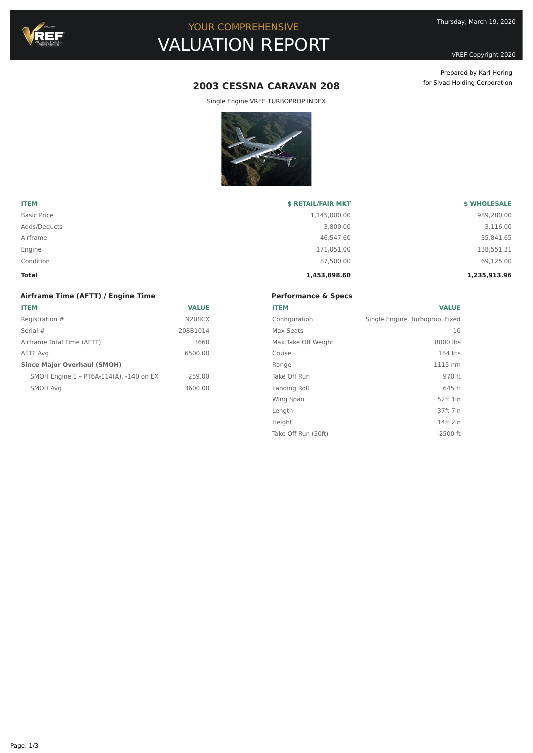

# YOUR COMPREHENSIVE VALUATION REPORT

VREF Copyright 2020

Prepared by Karl Hering for Sivad Holding Corporation

# **2003 CESSNA CARAVAN 208**

Single Engine VREF TURBOPROP INDEX



| <b>ITEM</b>        | <b>\$ RETAIL/FAIR MKT</b> | <b>\$ WHOLESALE</b> |
|--------------------|---------------------------|---------------------|
| <b>Basic Price</b> | 1,145,000.00              | 989,280.00          |
| Adds/Deducts       | 3,800,00                  | 3,116.00            |
| Airframe           | 46.547.60                 | 35,841.65           |
| Engine             | 171,051.00                | 138,551.31          |
| Condition          | 87,500.00                 | 69,125.00           |
| Total              | 1,453,898.60              | 1,235,913.96        |

## **Airframe Time (AFTT) / Engine Time ITEM VALUE** Registration #  $N208CX$ Serial # 208B1014 Airframe Total Time (AFTT) 3660 AFTT Avg 6500.00 **Since Major Overhaul (SMOH)** SMOH Engine 1 – PT6A-114(A), -140 on EX 259.00 SMOH Avg 3600.00

| <b>Performance &amp; Specs</b> |                                 |  |
|--------------------------------|---------------------------------|--|
| <b>ITEM</b>                    | <b>VALUE</b>                    |  |
| Configuration                  | Single Engine, Turboprop, Fixed |  |
| Max Seats                      | 10                              |  |
| Max Take Off Weight            | 8000 lbs                        |  |
| Cruise                         | 184 kts                         |  |
| Range                          | 1115 nm                         |  |
| Take Off Run                   | 970 ft                          |  |
| Landing Roll                   | 645 ft                          |  |
| Wing Span                      | 52ft 1in                        |  |
| Length                         | 37ft 7in                        |  |
| Height                         | 14ft 2in                        |  |
| Take Off Run (50ft)            | 2500 ft                         |  |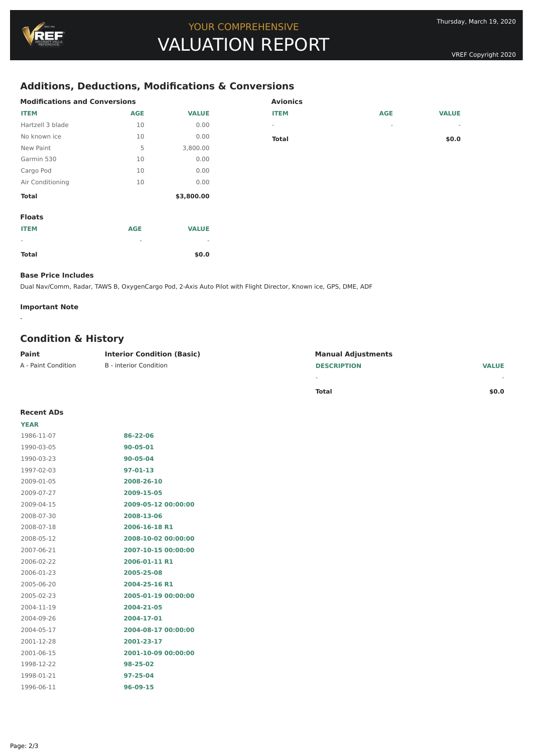# **Additions, Deductions, Modifications & Conversions**

| <b>Modifications and Conversions</b> |            |                          | <b>Avionics</b>          |            |              |
|--------------------------------------|------------|--------------------------|--------------------------|------------|--------------|
| <b>ITEM</b>                          | <b>AGE</b> | <b>VALUE</b>             | <b>ITEM</b>              | <b>AGE</b> | <b>VALUE</b> |
| Hartzell 3 blade                     | 10         | 0.00                     | $\overline{\phantom{a}}$ | $\sim$     | $\sim$       |
| No known ice                         | 10         | 0.00                     | <b>Total</b>             |            | \$0.0\$      |
| New Paint                            | 5          | 3,800.00                 |                          |            |              |
| Garmin 530                           | 10         | 0.00                     |                          |            |              |
| Cargo Pod                            | 10         | 0.00                     |                          |            |              |
| Air Conditioning                     | 10         | 0.00                     |                          |            |              |
| <b>Total</b>                         |            | \$3,800.00               |                          |            |              |
| <b>Floats</b>                        |            |                          |                          |            |              |
| <b>ITEM</b>                          | <b>AGE</b> | <b>VALUE</b>             |                          |            |              |
| $\sim$                               | $\sim$     | $\overline{\phantom{a}}$ |                          |            |              |
| <b>Total</b>                         |            | \$0.0                    |                          |            |              |

#### **Base Price Includes**

Dual Nav/Comm, Radar, TAWS B, OxygenCargo Pod, 2-Axis Auto Pilot with Flight Director, Known ice, GPS, DME, ADF

#### **Important Note**

-

## **Condition & History**

| Paint               | <b>Interior Condition (Basic)</b> | <b>Manual Adjustments</b> |              |
|---------------------|-----------------------------------|---------------------------|--------------|
| A - Paint Condition | B - interior Condition            | <b>DESCRIPTION</b>        | <b>VALUE</b> |
|                     |                                   |                           |              |

| <b>Total</b> | \$0.0 |
|--------------|-------|

### **Recent ADs**

| <b>YEAR</b> |                     |
|-------------|---------------------|
| 1986-11-07  | 86-22-06            |
| 1990-03-05  | 90-05-01            |
| 1990-03-23  | 90-05-04            |
| 1997-02-03  | 97-01-13            |
| 2009-01-05  | 2008-26-10          |
| 2009-07-27  | 2009-15-05          |
| 2009-04-15  | 2009-05-12 00:00:00 |
| 2008-07-30  | 2008-13-06          |
| 2008-07-18  | 2006-16-18 R1       |
| 2008-05-12  | 2008-10-02 00:00:00 |
| 2007-06-21  | 2007-10-15 00:00:00 |
| 2006-02-22  | 2006-01-11 R1       |
| 2006-01-23  | 2005-25-08          |
| 2005-06-20  | 2004-25-16 R1       |
| 2005-02-23  | 2005-01-19 00:00:00 |
| 2004-11-19  | 2004-21-05          |
| 2004-09-26  | 2004-17-01          |
| 2004-05-17  | 2004-08-17 00:00:00 |
| 2001-12-28  | 2001-23-17          |
| 2001-06-15  | 2001-10-09 00:00:00 |
| 1998-12-22  | 98-25-02            |
| 1998-01-21  | 97-25-04            |
| 1996-06-11  | 96-09-15            |